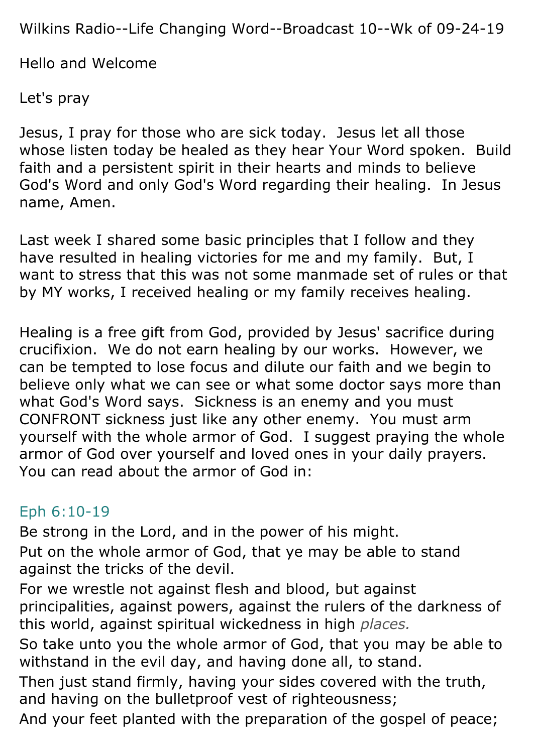Wilkins Radio--Life Changing Word--Broadcast 10--Wk of 09-24-19

Hello and Welcome

Let's pray

Jesus, I pray for those who are sick today. Jesus let all those whose listen today be healed as they hear Your Word spoken. Build faith and a persistent spirit in their hearts and minds to believe God's Word and only God's Word regarding their healing. In Jesus name, Amen.

Last week I shared some basic principles that I follow and they have resulted in healing victories for me and my family. But, I want to stress that this was not some manmade set of rules or that by MY works, I received healing or my family receives healing.

Healing is a free gift from God, provided by Jesus' sacrifice during crucifixion. We do not earn healing by our works. However, we can be tempted to lose focus and dilute our faith and we begin to believe only what we can see or what some doctor says more than what God's Word says. Sickness is an enemy and you must CONFRONT sickness just like any other enemy. You must arm yourself with the whole armor of God. I suggest praying the whole armor of God over yourself and loved ones in your daily prayers. You can read about the armor of God in:

## Eph 6:10-19

Be strong in the Lord, and in the power of his might. Put on the whole armor of God, that ye may be able to stand against the tricks of the devil.

For we wrestle not against flesh and blood, but against principalities, against powers, against the rulers of the darkness of this world, against spiritual wickedness in high *places.*

So take unto you the whole armor of God, that you may be able to withstand in the evil day, and having done all, to stand.

Then just stand firmly, having your sides covered with the truth, and having on the bulletproof vest of righteousness;

And your feet planted with the preparation of the gospel of peace;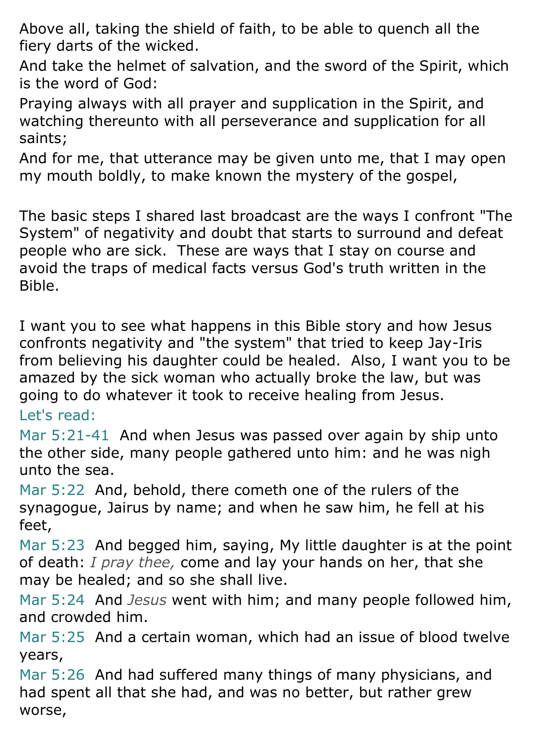Above all, taking the shield of faith, to be able to quench all the fiery darts of the wicked.

And take the helmet of salvation, and the sword of the Spirit, which is the word of God:

Praying always with all prayer and supplication in the Spirit, and watching thereunto with all perseverance and supplication for all saints;

And for me, that utterance may be given unto me, that I may open my mouth boldly, to make known the mystery of the gospel,

The basic steps I shared last broadcast are the ways I confront "The System" of negativity and doubt that starts to surround and defeat people who are sick. These are ways that I stay on course and avoid the traps of medical facts versus God's truth written in the Bible.

I want you to see what happens in this Bible story and how Jesus confronts negativity and "the system" that tried to keep Jay-Iris from believing his daughter could be healed. Also, I want you to be amazed by the sick woman who actually broke the law, but was going to do whatever it took to receive healing from Jesus. Let's read:

Mar 5:21-41 And when Jesus was passed over again by ship unto the other side, many people gathered unto him: and he was nigh unto the sea.

Mar 5:22 And, behold, there cometh one of the rulers of the synagogue, Jairus by name; and when he saw him, he fell at his feet,

Mar 5:23 And begged him, saying, My little daughter is at the point of death: *I pray thee,* come and lay your hands on her, that she may be healed; and so she shall live.

Mar 5:24 And *Jesus* went with him; and many people followed him, and crowded him.

Mar 5:25 And a certain woman, which had an issue of blood twelve years,

Mar 5:26 And had suffered many things of many physicians, and had spent all that she had, and was no better, but rather grew worse,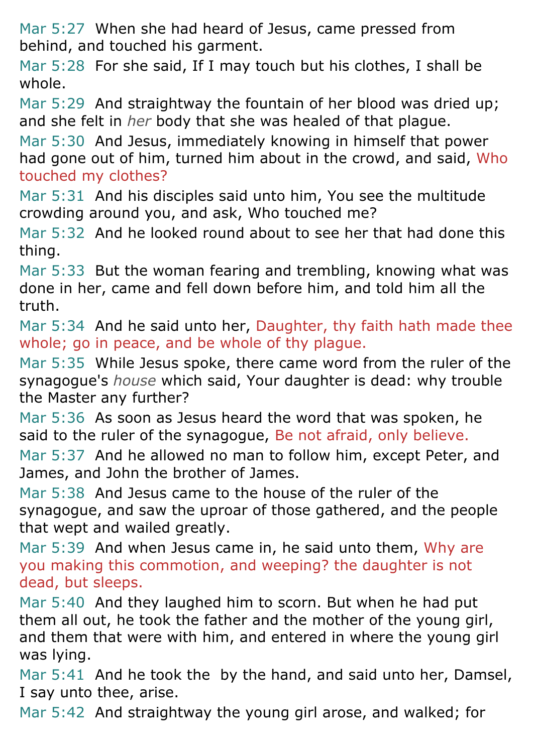Mar 5:27 When she had heard of Jesus, came pressed from behind, and touched his garment.

Mar 5:28 For she said, If I may touch but his clothes, I shall be whole.

Mar 5:29 And straightway the fountain of her blood was dried up; and she felt in *her* body that she was healed of that plague.

Mar 5:30 And Jesus, immediately knowing in himself that power had gone out of him, turned him about in the crowd, and said, Who touched my clothes?

Mar 5:31 And his disciples said unto him, You see the multitude crowding around you, and ask, Who touched me?

Mar 5:32 And he looked round about to see her that had done this thing.

Mar 5:33 But the woman fearing and trembling, knowing what was done in her, came and fell down before him, and told him all the truth.

Mar 5:34 And he said unto her, Daughter, thy faith hath made thee whole; go in peace, and be whole of thy plague.

Mar 5:35 While Jesus spoke, there came word from the ruler of the synagogue's *house* which said, Your daughter is dead: why trouble the Master any further?

Mar 5:36 As soon as Jesus heard the word that was spoken, he said to the ruler of the synagogue, Be not afraid, only believe.

Mar 5:37 And he allowed no man to follow him, except Peter, and James, and John the brother of James.

Mar 5:38 And Jesus came to the house of the ruler of the synagogue, and saw the uproar of those gathered, and the people that wept and wailed greatly.

Mar 5:39 And when Jesus came in, he said unto them, Why are you making this commotion, and weeping? the daughter is not dead, but sleeps.

Mar 5:40 And they laughed him to scorn. But when he had put them all out, he took the father and the mother of the young girl, and them that were with him, and entered in where the young girl was lying.

Mar 5:41 And he took the by the hand, and said unto her, Damsel, I say unto thee, arise.

Mar 5:42 And straightway the young girl arose, and walked; for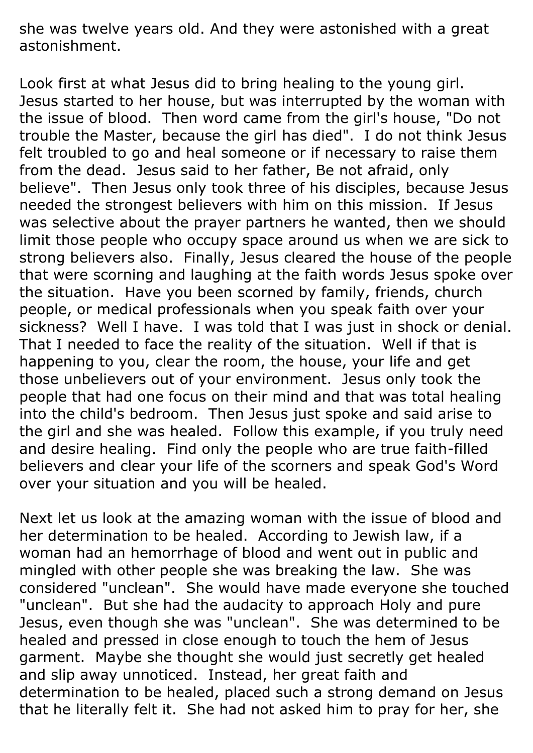she was twelve years old. And they were astonished with a great astonishment.

Look first at what Jesus did to bring healing to the young girl. Jesus started to her house, but was interrupted by the woman with the issue of blood. Then word came from the girl's house, "Do not trouble the Master, because the girl has died". I do not think Jesus felt troubled to go and heal someone or if necessary to raise them from the dead. Jesus said to her father, Be not afraid, only believe". Then Jesus only took three of his disciples, because Jesus needed the strongest believers with him on this mission. If Jesus was selective about the prayer partners he wanted, then we should limit those people who occupy space around us when we are sick to strong believers also. Finally, Jesus cleared the house of the people that were scorning and laughing at the faith words Jesus spoke over the situation. Have you been scorned by family, friends, church people, or medical professionals when you speak faith over your sickness? Well I have. I was told that I was just in shock or denial. That I needed to face the reality of the situation. Well if that is happening to you, clear the room, the house, your life and get those unbelievers out of your environment. Jesus only took the people that had one focus on their mind and that was total healing into the child's bedroom. Then Jesus just spoke and said arise to the girl and she was healed. Follow this example, if you truly need and desire healing. Find only the people who are true faith-filled believers and clear your life of the scorners and speak God's Word over your situation and you will be healed.

Next let us look at the amazing woman with the issue of blood and her determination to be healed. According to Jewish law, if a woman had an hemorrhage of blood and went out in public and mingled with other people she was breaking the law. She was considered "unclean". She would have made everyone she touched "unclean". But she had the audacity to approach Holy and pure Jesus, even though she was "unclean". She was determined to be healed and pressed in close enough to touch the hem of Jesus garment. Maybe she thought she would just secretly get healed and slip away unnoticed. Instead, her great faith and determination to be healed, placed such a strong demand on Jesus that he literally felt it. She had not asked him to pray for her, she